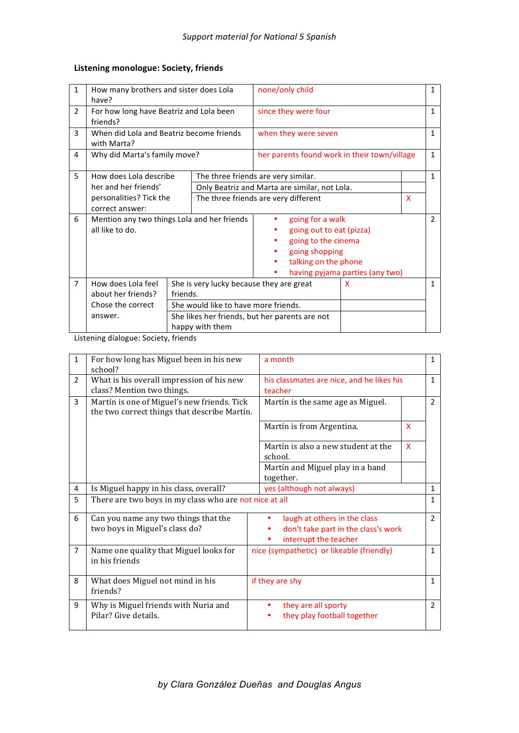## Listening monologue: Society, friends

| $\mathbf{1}$   | How many brothers and sister does Lola<br>have?                |                                                                   |  | none/only child                                 |   | 1            |               |  |
|----------------|----------------------------------------------------------------|-------------------------------------------------------------------|--|-------------------------------------------------|---|--------------|---------------|--|
| $\overline{2}$ | For how long have Beatriz and Lola been<br>friends?            |                                                                   |  | since they were four                            |   | 1            |               |  |
| 3              | When did Lola and Beatriz become friends<br>with Marta?        |                                                                   |  | when they were seven                            |   | 1            |               |  |
| 4              | Why did Marta's family move?                                   |                                                                   |  | her parents found work in their town/village    |   | $\mathbf{1}$ |               |  |
| 5              | How does Lola describe                                         | The three friends are very similar.                               |  |                                                 |   | 1            |               |  |
|                | her and her friends'                                           |                                                                   |  | Only Beatriz and Marta are similar, not Lola.   |   |              |               |  |
|                | personalities? Tick the                                        |                                                                   |  | X<br>The three friends are very different       |   |              |               |  |
|                | correct answer:                                                |                                                                   |  |                                                 |   |              |               |  |
| 6              | Mention any two things Lola and her friends<br>all like to do. |                                                                   |  | going for a walk                                |   |              | $\mathcal{P}$ |  |
|                |                                                                |                                                                   |  | going out to eat (pizza)<br>going to the cinema |   |              |               |  |
|                |                                                                |                                                                   |  |                                                 |   |              |               |  |
|                |                                                                |                                                                   |  | going shopping<br>talking on the phone          |   |              |               |  |
|                |                                                                |                                                                   |  |                                                 |   |              |               |  |
|                |                                                                |                                                                   |  | having pyjama parties (any two)                 |   |              |               |  |
| $\overline{7}$ | How does Lola feel                                             |                                                                   |  | She is very lucky because they are great        | x |              | 1             |  |
|                | about her friends?                                             | friends.                                                          |  |                                                 |   |              |               |  |
|                | Chose the correct                                              | She would like to have more friends.                              |  |                                                 |   |              |               |  |
|                | answer.                                                        | She likes her friends, but her parents are not<br>happy with them |  |                                                 |   |              |               |  |
|                |                                                                |                                                                   |  |                                                 |   |              |               |  |

Listening dialogue: Society, friends

| $\mathbf{1}$   | For how long has Miguel been in his new<br>school?                                          | a month                                                             |               |  |
|----------------|---------------------------------------------------------------------------------------------|---------------------------------------------------------------------|---------------|--|
| $\overline{2}$ | What is his overall impression of his new<br>class? Mention two things.                     | his classmates are nice, and he likes his<br>teacher                |               |  |
| 3              | Martín is one of Miguel's new friends. Tick<br>the two correct things that describe Martín. | Martín is the same age as Miguel.                                   | $\mathcal{P}$ |  |
|                |                                                                                             | Martín is from Argentina.<br>$\mathsf{x}$                           |               |  |
|                |                                                                                             | Martín is also a new student at the<br>$\mathsf{x}$<br>school.      |               |  |
|                |                                                                                             | Martín and Miguel play in a band<br>together.                       |               |  |
| 4              | Is Miguel happy in his class, overall?                                                      | yes (although not always)                                           |               |  |
| 5              | There are two boys in my class who are not nice at all                                      |                                                                     |               |  |
| 6              | Can you name any two things that the<br>two boys in Miguel's class do?                      | laugh at others in the class<br>don't take part in the class's work | $\mathcal{L}$ |  |
|                |                                                                                             | interrupt the teacher                                               |               |  |
| $\overline{7}$ | Name one quality that Miguel looks for<br>in his friends                                    | nice (sympathetic) or likeable (friendly)                           |               |  |
| 8              | What does Miguel not mind in his<br>friends?                                                | if they are shy                                                     | $\mathbf{1}$  |  |
| 9              | Why is Miguel friends with Nuria and<br>Pilar? Give details.                                | they are all sporty<br>٠<br>they play football together             | $\mathcal{P}$ |  |